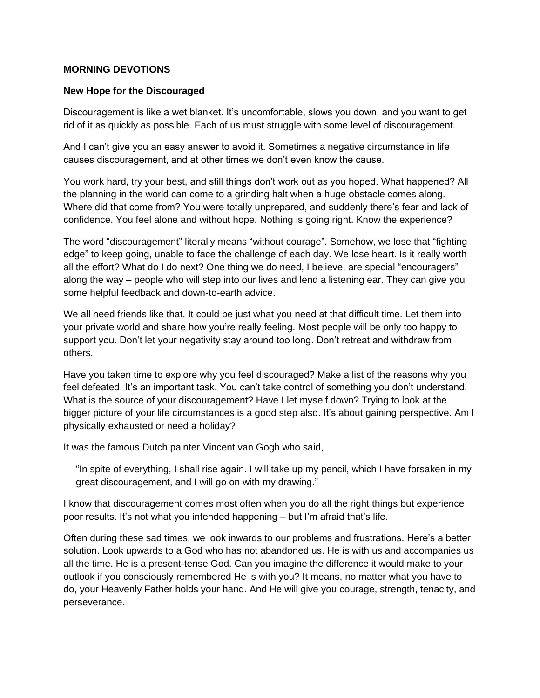## **MORNING DEVOTIONS**

## **New Hope for the Discouraged**

Discouragement is like a wet blanket. It's uncomfortable, slows you down, and you want to get rid of it as quickly as possible. Each of us must struggle with some level of discouragement.

And I can't give you an easy answer to avoid it. Sometimes a negative circumstance in life causes discouragement, and at other times we don't even know the cause.

You work hard, try your best, and still things don't work out as you hoped. What happened? All the planning in the world can come to a grinding halt when a huge obstacle comes along. Where did that come from? You were totally unprepared, and suddenly there's fear and lack of confidence. You feel alone and without hope. Nothing is going right. Know the experience?

The word "discouragement" literally means "without courage". Somehow, we lose that "fighting edge" to keep going, unable to face the challenge of each day. We lose heart. Is it really worth all the effort? What do I do next? One thing we do need, I believe, are special "encouragers" along the way – people who will step into our lives and lend a listening ear. They can give you some helpful feedback and down-to-earth advice.

We all need friends like that. It could be just what you need at that difficult time. Let them into your private world and share how you're really feeling. Most people will be only too happy to support you. Don't let your negativity stay around too long. Don't retreat and withdraw from others.

Have you taken time to explore why you feel discouraged? Make a list of the reasons why you feel defeated. It's an important task. You can't take control of something you don't understand. What is the source of your discouragement? Have I let myself down? Trying to look at the bigger picture of your life circumstances is a good step also. It's about gaining perspective. Am I physically exhausted or need a holiday?

It was the famous Dutch painter Vincent van Gogh who said,

"In spite of everything, I shall rise again. I will take up my pencil, which I have forsaken in my great discouragement, and I will go on with my drawing."

I know that discouragement comes most often when you do all the right things but experience poor results. It's not what you intended happening – but I'm afraid that's life.

Often during these sad times, we look inwards to our problems and frustrations. Here's a better solution. Look upwards to a God who has not abandoned us. He is with us and accompanies us all the time. He is a present-tense God. Can you imagine the difference it would make to your outlook if you consciously remembered He is with you? It means, no matter what you have to do, your Heavenly Father holds your hand. And He will give you courage, strength, tenacity, and perseverance.